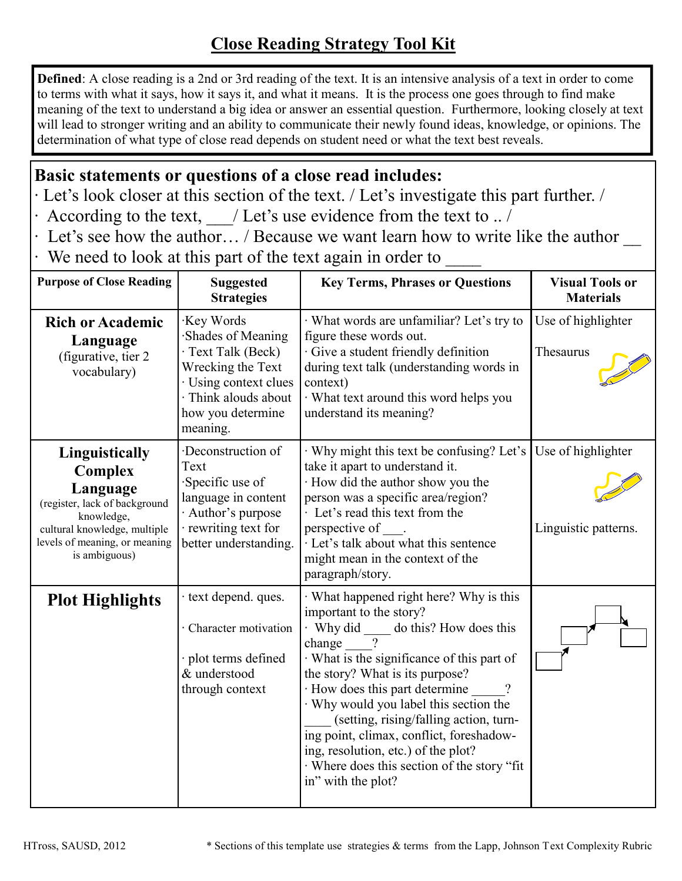## **Close Reading Strategy Tool Kit**

**Defined**: A close reading is a 2nd or 3rd reading of the text. It is an intensive analysis of a text in order to come to terms with what it says, how it says it, and what it means. It is the process one goes through to find make meaning of the text to understand a big idea or answer an essential question. Furthermore, looking closely at text will lead to stronger writing and an ability to communicate their newly found ideas, knowledge, or opinions. The determination of what type of close read depends on student need or what the text best reveals.

## **Basic statements or questions of a close read includes:**

- ∙ Let's look closer at this section of the text. / Let's investigate this part further. /
- ∙ According to the text, \_\_\_/ Let's use evidence from the text to .. /
- ∙ Let's see how the author… / Because we want learn how to write like the author \_\_
- ∙ We need to look at this part of the text again in order to \_\_\_\_

| <b>Purpose of Close Reading</b>                                                                                                                                               | <b>Suggested</b><br><b>Strategies</b>                                                                                                                       | <b>Key Terms, Phrases or Questions</b>                                                                                                                                                                                                                                                                                                                                                                                                                                                                   | <b>Visual Tools or</b><br><b>Materials</b> |
|-------------------------------------------------------------------------------------------------------------------------------------------------------------------------------|-------------------------------------------------------------------------------------------------------------------------------------------------------------|----------------------------------------------------------------------------------------------------------------------------------------------------------------------------------------------------------------------------------------------------------------------------------------------------------------------------------------------------------------------------------------------------------------------------------------------------------------------------------------------------------|--------------------------------------------|
| <b>Rich or Academic</b><br>Language<br>(figurative, tier 2)<br>vocabulary)                                                                                                    | Key Words<br>Shades of Meaning<br>· Text Talk (Beck)<br>Wrecking the Text<br>· Using context clues<br>· Think alouds about<br>how you determine<br>meaning. | · What words are unfamiliar? Let's try to<br>figure these words out.<br>· Give a student friendly definition<br>during text talk (understanding words in<br>context)<br>· What text around this word helps you<br>understand its meaning?                                                                                                                                                                                                                                                                | Use of highlighter<br>Thesaurus            |
| Linguistically<br><b>Complex</b><br>Language<br>(register, lack of background<br>knowledge,<br>cultural knowledge, multiple<br>levels of meaning, or meaning<br>is ambiguous) | Deconstruction of<br>Text<br>Specific use of<br>language in content<br>Author's purpose<br>rewriting text for<br>better understanding.                      | Why might this text be confusing? Let's<br>take it apart to understand it.<br>· How did the author show you the<br>person was a specific area/region?<br>· Let's read this text from the<br>perspective of<br>· Let's talk about what this sentence<br>might mean in the context of the<br>paragraph/story.                                                                                                                                                                                              | Use of highlighter<br>Linguistic patterns. |
| <b>Plot Highlights</b>                                                                                                                                                        | · text depend. ques.<br>Character motivation<br>plot terms defined<br>& understood<br>through context                                                       | What happened right here? Why is this<br>important to the story?<br>· Why did ______ do this? How does this<br>$\gamma$<br>change<br>What is the significance of this part of<br>the story? What is its purpose?<br>· How does this part determine<br>$\gamma$<br>Why would you label this section the<br>(setting, rising/falling action, turn-<br>ing point, climax, conflict, foreshadow-<br>ing, resolution, etc.) of the plot?<br>· Where does this section of the story "fit<br>in" with the plot? |                                            |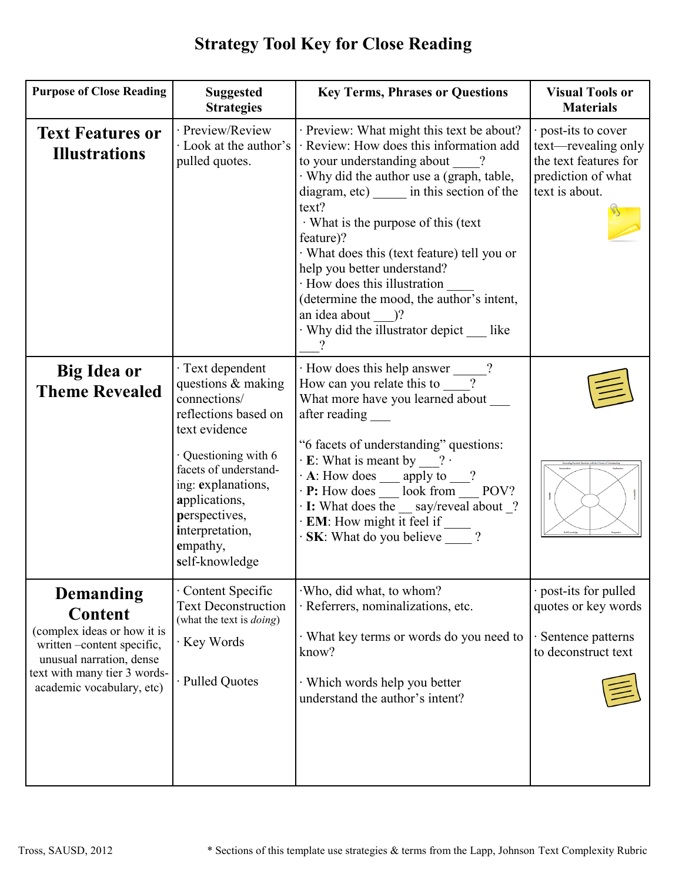| <b>Purpose of Close Reading</b>                                                                                                                                                         | <b>Suggested</b><br><b>Strategies</b>                                                                                                                                                                                                                           | <b>Key Terms, Phrases or Questions</b>                                                                                                                                                                                                                                                                                                                                                                                                                                                                              | <b>Visual Tools or</b><br><b>Materials</b>                                                                  |
|-----------------------------------------------------------------------------------------------------------------------------------------------------------------------------------------|-----------------------------------------------------------------------------------------------------------------------------------------------------------------------------------------------------------------------------------------------------------------|---------------------------------------------------------------------------------------------------------------------------------------------------------------------------------------------------------------------------------------------------------------------------------------------------------------------------------------------------------------------------------------------------------------------------------------------------------------------------------------------------------------------|-------------------------------------------------------------------------------------------------------------|
| <b>Text Features or</b><br><b>Illustrations</b>                                                                                                                                         | · Preview/Review<br>· Look at the author's<br>pulled quotes.                                                                                                                                                                                                    | · Preview: What might this text be about?<br>$\cdot$ Review: How does this information add<br>to your understanding about ?<br>· Why did the author use a (graph, table,<br>diagram, etc) in this section of the<br>text?<br>$\cdot$ What is the purpose of this (text<br>feature)?<br>· What does this (text feature) tell you or<br>help you better understand?<br>· How does this illustration<br>(determine the mood, the author's intent,<br>an idea about )?<br>· Why did the illustrator depict __ like<br>? | · post-its to cover<br>text—revealing only<br>the text features for<br>prediction of what<br>text is about. |
| <b>Big Idea or</b><br><b>Theme Revealed</b>                                                                                                                                             | · Text dependent<br>questions & making<br>connections/<br>reflections based on<br>text evidence<br>$\cdot$ Questioning with 6<br>facets of understand-<br>ing: explanations,<br>applications,<br>perspectives,<br>interpretation,<br>empathy,<br>self-knowledge | $\cdot$ How does this help answer ______?<br>How can you relate this to _____?<br>What more have you learned about<br>after reading<br>"6 facets of understanding" questions:<br>$\cdot$ E: What is meant by ___? $\cdot$<br>A: How does $\_\_$ apply to $\_\_$ ?<br>• <b>P:</b> How does $\_\_$ look from $\_\_$ POV?<br>$\cdot$ I: What does the $\_\$ say/reveal about $\_\$ ?<br>$\cdot$ EM: How might it feel if<br><b>SK:</b> What do you believe ?                                                           |                                                                                                             |
| <b>Demanding</b><br><b>Content</b><br>(complex ideas or how it is<br>written-content specific,<br>unusual narration, dense<br>text with many tier 3 words-<br>academic vocabulary, etc) | · Content Specific<br><b>Text Deconstruction</b><br>(what the text is <i>doing</i> )<br>· Key Words<br>· Pulled Quotes                                                                                                                                          | Who, did what, to whom?<br>· Referrers, nominalizations, etc.<br>· What key terms or words do you need to<br>know?<br>· Which words help you better<br>understand the author's intent?                                                                                                                                                                                                                                                                                                                              | · post-its for pulled<br>quotes or key words<br>Sentence patterns<br>to deconstruct text                    |